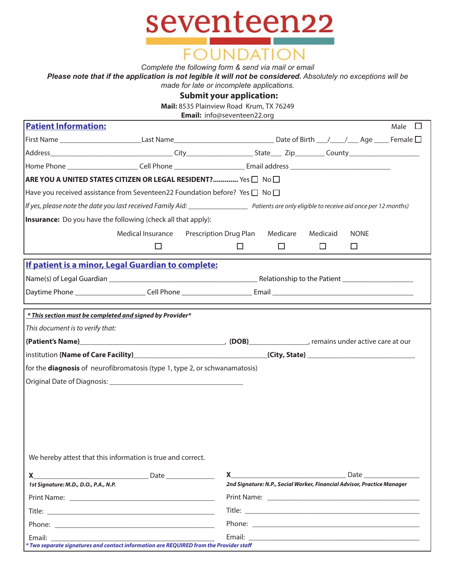

*Complete the following form & send via mail or email*

*Please note that if the application is not legible it will not be considered. Absolutely no exceptions will be* 

*made for late or incomplete applications.*

**Submit your application:**

**Mail:** 8535 Plainview Road Krum, TX 76249

**Email:** info@seventeen22.org

| <b>Patient Information:</b>                                                                                                                     |                                                   |  |                                                                                                                      |        |                                                                         |             | Male<br>$\Box$ |
|-------------------------------------------------------------------------------------------------------------------------------------------------|---------------------------------------------------|--|----------------------------------------------------------------------------------------------------------------------|--------|-------------------------------------------------------------------------|-------------|----------------|
| First Name ______________________________Last Name__________________________________Date of Birth ___/____/____Age _____Female □                |                                                   |  |                                                                                                                      |        |                                                                         |             |                |
|                                                                                                                                                 |                                                   |  |                                                                                                                      |        |                                                                         |             |                |
|                                                                                                                                                 |                                                   |  | Home Phone _________________________Cell Phone __________________________Email address _____________________________ |        |                                                                         |             |                |
| ARE YOU A UNITED STATES CITIZEN OR LEGAL RESIDENT? Yes $\square \hspace{3pt} \square \hspace{3pt} \square$                                      |                                                   |  |                                                                                                                      |        |                                                                         |             |                |
| Have you received assistance from Seventeen22 Foundation before? Yes $\Box$ No $\Box$                                                           |                                                   |  |                                                                                                                      |        |                                                                         |             |                |
| If yes, please note the date you last received Family Aid: ______________________ Patients are only eligible to receive aid once per 12 months) |                                                   |  |                                                                                                                      |        |                                                                         |             |                |
| <b>Insurance:</b> Do you have the following (check all that apply):                                                                             |                                                   |  |                                                                                                                      |        |                                                                         |             |                |
|                                                                                                                                                 | Medical Insurance Prescription Drug Plan Medicare |  |                                                                                                                      |        | Medicaid                                                                | <b>NONE</b> |                |
|                                                                                                                                                 | $\Box$                                            |  | $\Box$                                                                                                               | $\Box$ | $\Box$                                                                  | □           |                |
| If patient is a minor, Legal Guardian to complete:                                                                                              |                                                   |  |                                                                                                                      |        |                                                                         |             |                |
|                                                                                                                                                 |                                                   |  |                                                                                                                      |        |                                                                         |             |                |
|                                                                                                                                                 |                                                   |  |                                                                                                                      |        |                                                                         |             |                |
|                                                                                                                                                 |                                                   |  |                                                                                                                      |        |                                                                         |             |                |
| * This section must be completed and signed by Provider*                                                                                        |                                                   |  |                                                                                                                      |        |                                                                         |             |                |
| This document is to verify that:                                                                                                                |                                                   |  |                                                                                                                      |        |                                                                         |             |                |
|                                                                                                                                                 |                                                   |  |                                                                                                                      |        |                                                                         |             |                |
|                                                                                                                                                 |                                                   |  |                                                                                                                      |        |                                                                         |             |                |
| for the <b>diagnosis</b> of neurofibromatosis (type 1, type 2, or schwanamatosis)                                                               |                                                   |  |                                                                                                                      |        |                                                                         |             |                |
|                                                                                                                                                 |                                                   |  |                                                                                                                      |        |                                                                         |             |                |
|                                                                                                                                                 |                                                   |  |                                                                                                                      |        |                                                                         |             |                |
|                                                                                                                                                 |                                                   |  |                                                                                                                      |        |                                                                         |             |                |
|                                                                                                                                                 |                                                   |  |                                                                                                                      |        |                                                                         |             |                |
|                                                                                                                                                 |                                                   |  |                                                                                                                      |        |                                                                         |             |                |
|                                                                                                                                                 |                                                   |  |                                                                                                                      |        |                                                                         |             |                |
| We hereby attest that this information is true and correct.                                                                                     |                                                   |  |                                                                                                                      |        |                                                                         |             |                |
|                                                                                                                                                 |                                                   |  | $\mathsf{X}$ and the contract of $\mathsf{X}$                                                                        |        |                                                                         |             |                |
| 1st Signature: M.D., D.O., P.A., N.P.                                                                                                           |                                                   |  |                                                                                                                      |        | 2nd Signature: N.P., Social Worker, Financial Advisor, Practice Manager |             |                |
|                                                                                                                                                 |                                                   |  |                                                                                                                      |        |                                                                         |             |                |
|                                                                                                                                                 |                                                   |  |                                                                                                                      |        |                                                                         |             |                |
|                                                                                                                                                 |                                                   |  |                                                                                                                      |        |                                                                         |             |                |
| * Two separate signatures and contact information are REQUIRED from the Provider staff                                                          |                                                   |  |                                                                                                                      |        |                                                                         |             |                |